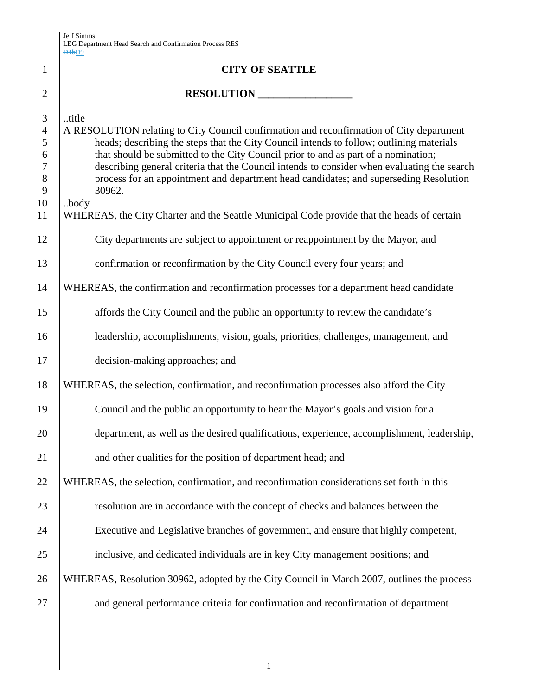$\overline{\phantom{a}}$ 

|                | D4bD9                                                                                       |
|----------------|---------------------------------------------------------------------------------------------|
| $\mathbf{1}$   | <b>CITY OF SEATTLE</b>                                                                      |
| $\overline{2}$ | RESOLUTION                                                                                  |
| $\mathfrak{Z}$ | title                                                                                       |
| $\overline{4}$ | A RESOLUTION relating to City Council confirmation and reconfirmation of City department    |
| 5              | heads; describing the steps that the City Council intends to follow; outlining materials    |
| 6              | that should be submitted to the City Council prior to and as part of a nomination;          |
| $\tau$         | describing general criteria that the Council intends to consider when evaluating the search |
| 8              | process for an appointment and department head candidates; and superseding Resolution       |
| 9              | 30962.                                                                                      |
| 10             | body                                                                                        |
| 11             | WHEREAS, the City Charter and the Seattle Municipal Code provide that the heads of certain  |
| 12             | City departments are subject to appointment or reappointment by the Mayor, and              |
| 13             | confirmation or reconfirmation by the City Council every four years; and                    |
| 14             | WHEREAS, the confirmation and reconfirmation processes for a department head candidate      |
| 15             | affords the City Council and the public an opportunity to review the candidate's            |
| 16             | leadership, accomplishments, vision, goals, priorities, challenges, management, and         |
| 17             | decision-making approaches; and                                                             |
| 18             | WHEREAS, the selection, confirmation, and reconfirmation processes also afford the City     |
| 19             | Council and the public an opportunity to hear the Mayor's goals and vision for a            |
| 20             | department, as well as the desired qualifications, experience, accomplishment, leadership,  |
| 21             | and other qualities for the position of department head; and                                |
| 22             | WHEREAS, the selection, confirmation, and reconfirmation considerations set forth in this   |
| 23             | resolution are in accordance with the concept of checks and balances between the            |
| 24             | Executive and Legislative branches of government, and ensure that highly competent,         |
| 25             | inclusive, and dedicated individuals are in key City management positions; and              |
| 26             | WHEREAS, Resolution 30962, adopted by the City Council in March 2007, outlines the process  |
| 27             | and general performance criteria for confirmation and reconfirmation of department          |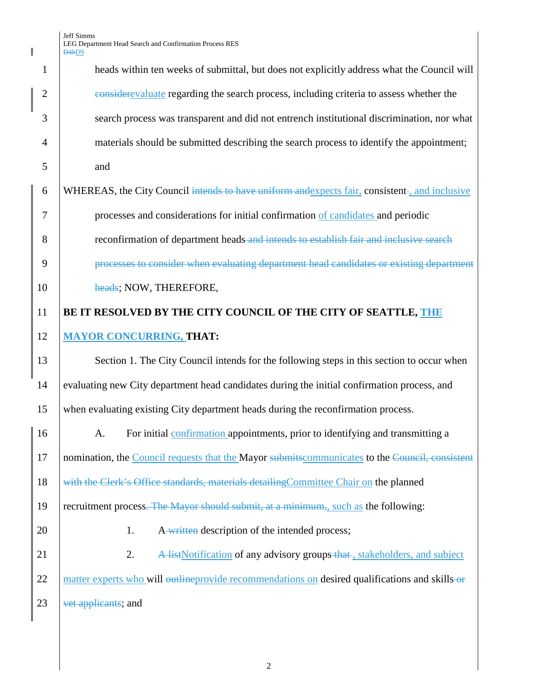Jeff Simms LEG Department Head Search and Confirmation Process RES D4bD9

1 heads within ten weeks of submittal, but does not explicitly address what the Council will 2 considerevaluate regarding the search process, including criteria to assess whether the 3 search process was transparent and did not entrench institutional discrimination, nor what 4 materials should be submitted describing the search process to identify the appointment; 5 and 6 WHEREAS, the City Council intends to have uniform and expects fair, consistent-, and inclusive 7 processes and considerations for initial confirmation of candidates and periodic 8 **external intends of department heads-and intends to establish fair and inclusive search** 9 **processes to consider when evaluating department head candidates or existing department** 10 heads; NOW, THEREFORE, 11 **BE IT RESOLVED BY THE CITY COUNCIL OF THE CITY OF SEATTLE, THE**  12 **MAYOR CONCURRING, THAT:** 13 Section 1. The City Council intends for the following steps in this section to occur when 14 evaluating new City department head candidates during the initial confirmation process, and 15 when evaluating existing City department heads during the reconfirmation process. 16 A. For initial confirmation appointments, prior to identifying and transmitting a 17 nomination, the Council requests that the Mayor submits communicates to the Council, consistent 18 with the Clerk's Office standards, materials detailing Committee Chair on the planned 19  $\vert$  recruitment process. The Mayor should submit, at a minimum, such as the following: 20 1. A written description of the intended process; 21 2. A listNotification of any advisory groups that, stakeholders, and subject 22 matter experts who will outline provide recommendations on desired qualifications and skills or 23 vet applicants; and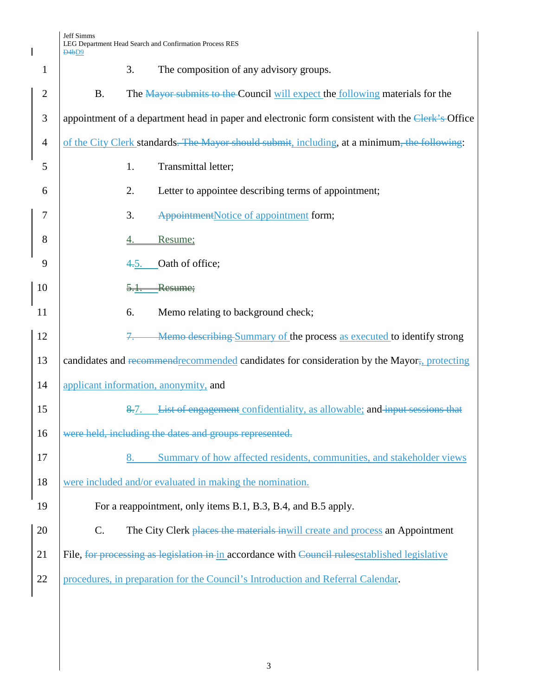$\mathbf{I}$ 

| $\mathbf{1}$   | The composition of any advisory groups.<br>3.                                                    |
|----------------|--------------------------------------------------------------------------------------------------|
| $\overline{2}$ | The Mayor submits to the Council will expect the following materials for the<br><b>B.</b>        |
| 3              | appointment of a department head in paper and electronic form consistent with the Clerk's Office |
| $\overline{4}$ | of the City Clerk standards. The Mayor should submit, including, at a minimum, the following:    |
| 5              | Transmittal letter;<br>1.                                                                        |
| 6              | Letter to appointee describing terms of appointment;<br>2.                                       |
| 7              | 3.<br>AppointmentNotice of appointment form;                                                     |
| 8              | Resume;<br><u>4.</u>                                                                             |
| 9              | Oath of office;<br>4.5.                                                                          |
| 10             | Resume;                                                                                          |
| 11             | Memo relating to background check;<br>6.                                                         |
| 12             | Memo describing Summary of the process as executed to identify strong                            |
| 13             | candidates and recommendie commended candidates for consideration by the Mayor; protecting       |
| 14             | applicant information, anonymity, and                                                            |
| 15             | 8.7. List of engagement confidentiality, as allowable; and input sessions that                   |
| 16             | were held, including the dates and groups represented.                                           |
| 17             | Summary of how affected residents, communities, and stakeholder views<br>8.                      |
| 18             | were included and/or evaluated in making the nomination.                                         |
| 19             | For a reappointment, only items B.1, B.3, B.4, and B.5 apply.                                    |
| 20             | C.<br>The City Clerk places the materials in will create and process an Appointment              |
| 21             | File, for processing as legislation in in accordance with Council rules established legislative  |
| 22             | procedures, in preparation for the Council's Introduction and Referral Calendar.                 |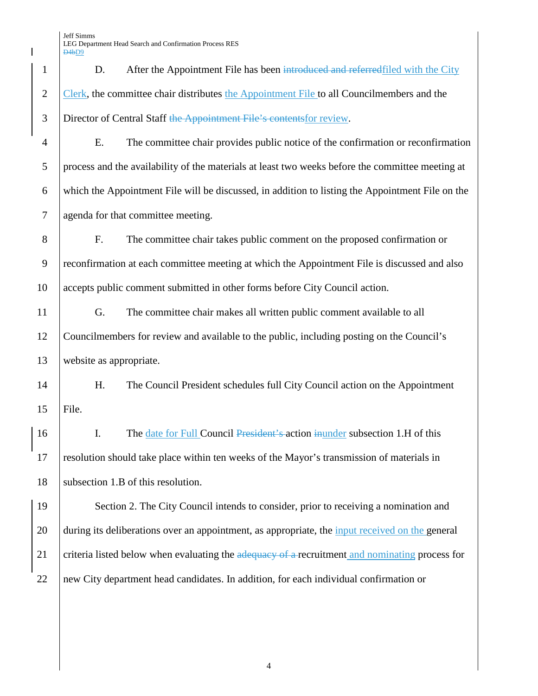1 D. After the Appointment File has been introduced and referred filed with the City 2 Clerk, the committee chair distributes the Appointment File to all Councilmembers and the 3 Director of Central Staff the Appointment File's contents for review.

 E. The committee chair provides public notice of the confirmation or reconfirmation process and the availability of the materials at least two weeks before the committee meeting at which the Appointment File will be discussed, in addition to listing the Appointment File on the agenda for that committee meeting.

8 F. The committee chair takes public comment on the proposed confirmation or 9 reconfirmation at each committee meeting at which the Appointment File is discussed and also 10 accepts public comment submitted in other forms before City Council action.

11 G. The committee chair makes all written public comment available to all 12 Councilmembers for review and available to the public, including posting on the Council's 13 website as appropriate.

14 H. The Council President schedules full City Council action on the Appointment 15 File.

16 I. The date for Full Council President's action in under subsection 1.H of this 17 resolution should take place within ten weeks of the Mayor's transmission of materials in 18 | subsection 1.B of this resolution.

19 Section 2. The City Council intends to consider, prior to receiving a nomination and 20 during its deliberations over an appointment, as appropriate, the <u>input received on the general</u> 21 criteria listed below when evaluating the  $\frac{1}{2}$  calculated a recruitment and nominating process for 22 new City department head candidates. In addition, for each individual confirmation or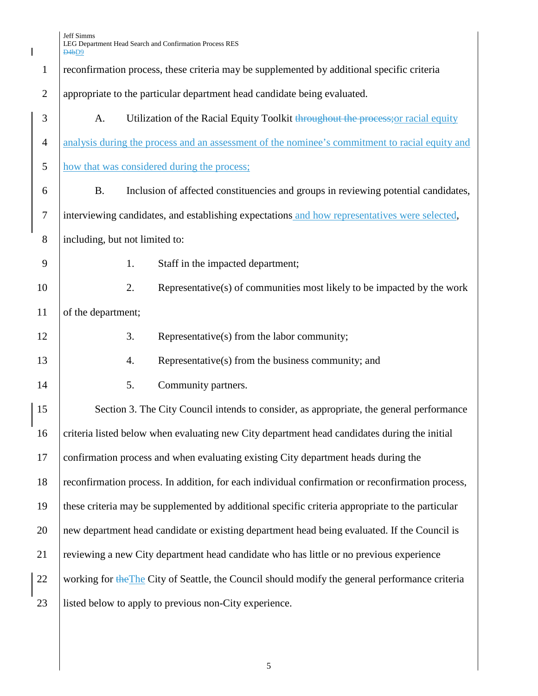|                  | D4bD9                                                                                            |
|------------------|--------------------------------------------------------------------------------------------------|
| $\mathbf{1}$     | reconfirmation process, these criteria may be supplemented by additional specific criteria       |
| $\mathbf{2}$     | appropriate to the particular department head candidate being evaluated.                         |
| $\mathfrak{Z}$   | Utilization of the Racial Equity Toolkit throughout the process; or racial equity<br>A.          |
| $\overline{4}$   | analysis during the process and an assessment of the nominee's commitment to racial equity and   |
| 5                | how that was considered during the process;                                                      |
| 6                | <b>B.</b><br>Inclusion of affected constituencies and groups in reviewing potential candidates,  |
| $\boldsymbol{7}$ | interviewing candidates, and establishing expectations and how representatives were selected,    |
| 8                | including, but not limited to:                                                                   |
| 9                | Staff in the impacted department;<br>1.                                                          |
| 10               | Representative(s) of communities most likely to be impacted by the work<br>2.                    |
| 11               | of the department;                                                                               |
| 12               | 3.<br>Representative(s) from the labor community;                                                |
| 13               | Representative(s) from the business community; and<br>4.                                         |
| 14               | Community partners.<br>5.                                                                        |
| 15               | Section 3. The City Council intends to consider, as appropriate, the general performance         |
| 16               | criteria listed below when evaluating new City department head candidates during the initial     |
| 17               | confirmation process and when evaluating existing City department heads during the               |
| 18               | reconfirmation process. In addition, for each individual confirmation or reconfirmation process, |
| 19               | these criteria may be supplemented by additional specific criteria appropriate to the particular |
| 20               | new department head candidate or existing department head being evaluated. If the Council is     |
| 21               | reviewing a new City department head candidate who has little or no previous experience          |
| 22               | working for the The City of Seattle, the Council should modify the general performance criteria  |
| 23               | listed below to apply to previous non-City experience.                                           |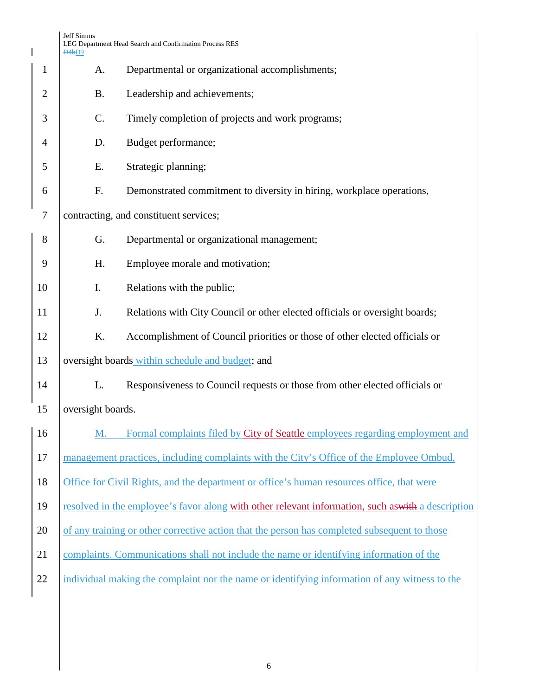|                | Jeff Simms<br>D <sub>4</sub> b <sub>D9</sub> | LEG Department Head Search and Confirmation Process RES                                            |  |  |
|----------------|----------------------------------------------|----------------------------------------------------------------------------------------------------|--|--|
| $\mathbf{1}$   | A.                                           | Departmental or organizational accomplishments;                                                    |  |  |
| $\overline{2}$ | <b>B.</b>                                    | Leadership and achievements;                                                                       |  |  |
| 3              | C.                                           | Timely completion of projects and work programs;                                                   |  |  |
| 4              | D.                                           | Budget performance;                                                                                |  |  |
| 5              | Ε.                                           | Strategic planning;                                                                                |  |  |
| 6              | F.                                           | Demonstrated commitment to diversity in hiring, workplace operations,                              |  |  |
| 7              |                                              | contracting, and constituent services;                                                             |  |  |
| 8              | G.                                           | Departmental or organizational management;                                                         |  |  |
| 9              | H.                                           | Employee morale and motivation;                                                                    |  |  |
| 10             | Ι.                                           | Relations with the public;                                                                         |  |  |
| 11             | J.                                           | Relations with City Council or other elected officials or oversight boards;                        |  |  |
| 12             | K.                                           | Accomplishment of Council priorities or those of other elected officials or                        |  |  |
| 13             |                                              | oversight boards within schedule and budget; and                                                   |  |  |
| 14             | L.                                           | Responsiveness to Council requests or those from other elected officials or                        |  |  |
| 15             | oversight boards.                            |                                                                                                    |  |  |
| 16             | M.                                           | Formal complaints filed by City of Seattle employees regarding employment and                      |  |  |
| 17             |                                              | management practices, including complaints with the City's Office of the Employee Ombud,           |  |  |
| 18             |                                              | Office for Civil Rights, and the department or office's human resources office, that were          |  |  |
| 19             |                                              | resolved in the employee's favor along with other relevant information, such as with a description |  |  |
| 20             |                                              | of any training or other corrective action that the person has completed subsequent to those       |  |  |
| 21             |                                              | complaints. Communications shall not include the name or identifying information of the            |  |  |
| 22             |                                              | individual making the complaint nor the name or identifying information of any witness to the      |  |  |
|                |                                              |                                                                                                    |  |  |
|                |                                              |                                                                                                    |  |  |
|                |                                              |                                                                                                    |  |  |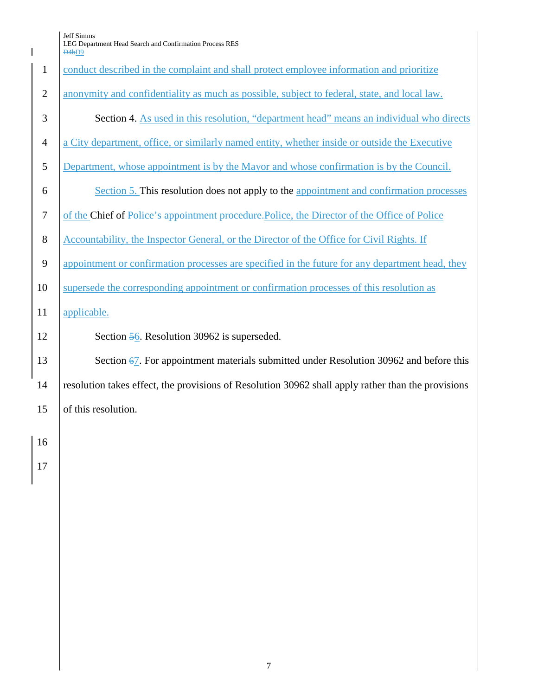Jeff Simms LEG Department Head Search and Confirmation Process RES

|                  | D <sub>4b</sub> D <sub>9</sub>                                                                      |
|------------------|-----------------------------------------------------------------------------------------------------|
| $\mathbf{1}$     | conduct described in the complaint and shall protect employee information and prioritize            |
| $\mathbf{2}$     | anonymity and confidentiality as much as possible, subject to federal, state, and local law.        |
| 3                | Section 4. As used in this resolution, "department head" means an individual who directs            |
| $\overline{4}$   | a City department, office, or similarly named entity, whether inside or outside the Executive       |
| 5                | Department, whose appointment is by the Mayor and whose confirmation is by the Council.             |
| 6                | Section 5. This resolution does not apply to the appointment and confirmation processes             |
| $\boldsymbol{7}$ | of the Chief of Police's appointment procedure. Police, the Director of the Office of Police        |
| 8                | Accountability, the Inspector General, or the Director of the Office for Civil Rights. If           |
| $\mathbf{9}$     | appointment or confirmation processes are specified in the future for any department head, they     |
| 10               | supersede the corresponding appointment or confirmation processes of this resolution as             |
| 11               | applicable.                                                                                         |
| 12               | Section 56. Resolution 30962 is superseded.                                                         |
| 13               | Section $\frac{67}{2}$ . For appointment materials submitted under Resolution 30962 and before this |
| 14               | resolution takes effect, the provisions of Resolution 30962 shall apply rather than the provisions  |
| 15               | of this resolution.                                                                                 |
| 16               |                                                                                                     |
| 17               |                                                                                                     |
|                  |                                                                                                     |
|                  |                                                                                                     |
|                  |                                                                                                     |
|                  |                                                                                                     |
|                  |                                                                                                     |
|                  |                                                                                                     |